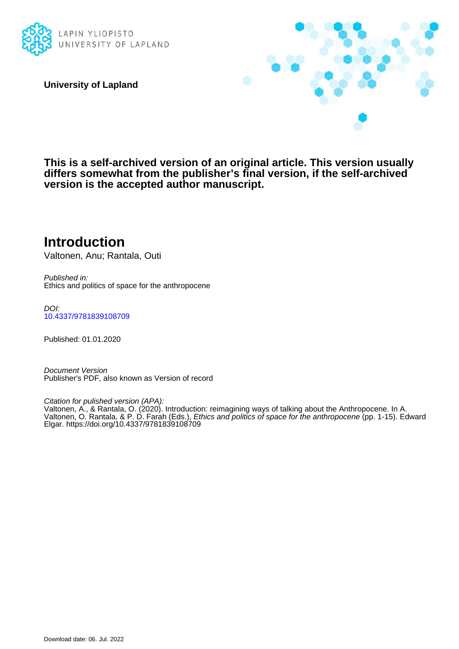

**University of Lapland**



**This is a self-archived version of an original article. This version usually differs somewhat from the publisher's final version, if the self-archived version is the accepted author manuscript.**

## **Introduction**

Valtonen, Anu; Rantala, Outi

Published in: Ethics and politics of space for the anthropocene

DOI: [10.4337/9781839108709](https://doi.org/10.4337/9781839108709)

Published: 01.01.2020

Document Version Publisher's PDF, also known as Version of record

Citation for pulished version (APA):

Valtonen, A., & Rantala, O. (2020). Introduction: reimagining ways of talking about the Anthropocene. In A. Valtonen, O. Rantala, & P. D. Farah (Eds.), Ethics and politics of space for the anthropocene (pp. 1-15). Edward Elgar. <https://doi.org/10.4337/9781839108709>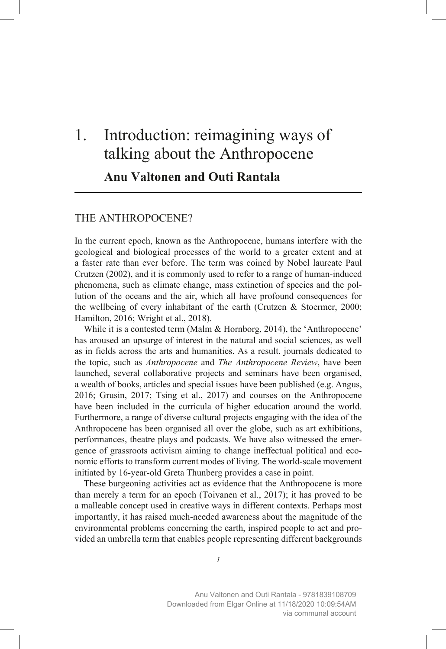# 1. Introduction: reimagining ways of talking about the Anthropocene **Anu Valtonen and Outi Rantala**

## THE ANTHROPOCENE?

In the current epoch, known as the Anthropocene, humans interfere with the geological and biological processes of the world to a greater extent and at a faster rate than ever before. The term was coined by Nobel laureate Paul Crutzen (2002), and it is commonly used to refer to a range of human-induced phenomena, such as climate change, mass extinction of species and the pollution of the oceans and the air, which all have profound consequences for the wellbeing of every inhabitant of the earth (Crutzen & Stoermer, 2000; Hamilton, 2016; Wright et al., 2018).

While it is a contested term (Malm & Hornborg, 2014), the 'Anthropocene' has aroused an upsurge of interest in the natural and social sciences, as well as in fields across the arts and humanities. As a result, journals dedicated to the topic, such as *Anthropocene* and *The Anthropocene Review*, have been launched, several collaborative projects and seminars have been organised, a wealth of books, articles and special issues have been published (e.g. Angus, 2016; Grusin, 2017; Tsing et al., 2017) and courses on the Anthropocene have been included in the curricula of higher education around the world. Furthermore, a range of diverse cultural projects engaging with the idea of the Anthropocene has been organised all over the globe, such as art exhibitions, performances, theatre plays and podcasts. We have also witnessed the emergence of grassroots activism aiming to change ineffectual political and economic efforts to transform current modes of living. The world-scale movement initiated by 16-year-old Greta Thunberg provides a case in point.

These burgeoning activities act as evidence that the Anthropocene is more than merely a term for an epoch (Toivanen et al., 2017); it has proved to be a malleable concept used in creative ways in different contexts. Perhaps most importantly, it has raised much-needed awareness about the magnitude of the environmental problems concerning the earth, inspired people to act and provided an umbrella term that enables people representing different backgrounds

*1*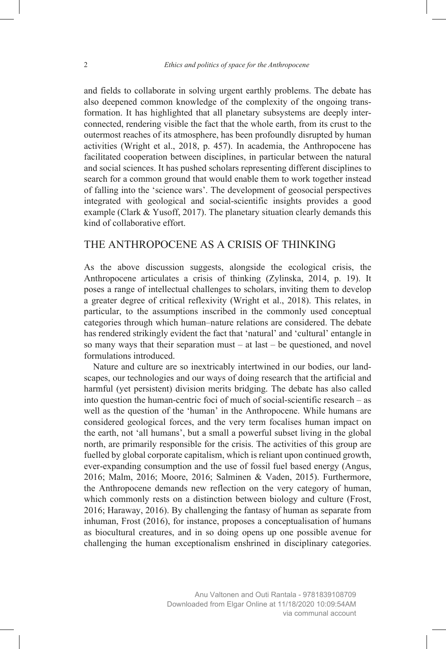and fields to collaborate in solving urgent earthly problems. The debate has also deepened common knowledge of the complexity of the ongoing transformation. It has highlighted that all planetary subsystems are deeply interconnected, rendering visible the fact that the whole earth, from its crust to the outermost reaches of its atmosphere, has been profoundly disrupted by human activities (Wright et al., 2018, p. 457). In academia, the Anthropocene has facilitated cooperation between disciplines, in particular between the natural and social sciences. It has pushed scholars representing different disciplines to search for a common ground that would enable them to work together instead of falling into the 'science wars'. The development of geosocial perspectives integrated with geological and social-scientific insights provides a good example (Clark  $\&$  Yusoff, 2017). The planetary situation clearly demands this kind of collaborative effort.

## THE ANTHROPOCENE AS A CRISIS OF THINKING

As the above discussion suggests, alongside the ecological crisis, the Anthropocene articulates a crisis of thinking (Zylinska, 2014, p. 19). It poses a range of intellectual challenges to scholars, inviting them to develop a greater degree of critical reflexivity (Wright et al., 2018). This relates, in particular, to the assumptions inscribed in the commonly used conceptual categories through which human–nature relations are considered. The debate has rendered strikingly evident the fact that 'natural' and 'cultural' entangle in so many ways that their separation must – at last – be questioned, and novel formulations introduced.

Nature and culture are so inextricably intertwined in our bodies, our landscapes, our technologies and our ways of doing research that the artificial and harmful (yet persistent) division merits bridging. The debate has also called into question the human-centric foci of much of social-scientific research – as well as the question of the 'human' in the Anthropocene. While humans are considered geological forces, and the very term focalises human impact on the earth, not 'all humans', but a small a powerful subset living in the global north, are primarily responsible for the crisis. The activities of this group are fuelled by global corporate capitalism, which is reliant upon continued growth, ever-expanding consumption and the use of fossil fuel based energy (Angus, 2016; Malm, 2016; Moore, 2016; Salminen & Vaden, 2015). Furthermore, the Anthropocene demands new reflection on the very category of human, which commonly rests on a distinction between biology and culture (Frost, 2016; Haraway, 2016). By challenging the fantasy of human as separate from inhuman, Frost (2016), for instance, proposes a conceptualisation of humans as biocultural creatures, and in so doing opens up one possible avenue for challenging the human exceptionalism enshrined in disciplinary categories.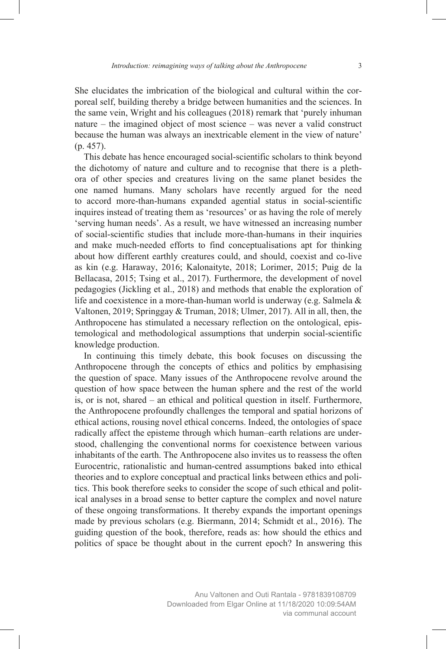She elucidates the imbrication of the biological and cultural within the corporeal self, building thereby a bridge between humanities and the sciences. In the same vein, Wright and his colleagues (2018) remark that 'purely inhuman nature – the imagined object of most science – was never a valid construct because the human was always an inextricable element in the view of nature' (p. 457).

This debate has hence encouraged social-scientific scholars to think beyond the dichotomy of nature and culture and to recognise that there is a plethora of other species and creatures living on the same planet besides the one named humans. Many scholars have recently argued for the need to accord more-than-humans expanded agential status in social-scientific inquires instead of treating them as 'resources' or as having the role of merely 'serving human needs'. As a result, we have witnessed an increasing number of social-scientific studies that include more-than-humans in their inquiries and make much-needed efforts to find conceptualisations apt for thinking about how different earthly creatures could, and should, coexist and co-live as kin (e.g. Haraway, 2016; Kalonaityte, 2018; Lorimer, 2015; Puig de la Bellacasa, 2015; Tsing et al., 2017). Furthermore, the development of novel pedagogies (Jickling et al., 2018) and methods that enable the exploration of life and coexistence in a more-than-human world is underway (e.g. Salmela & Valtonen, 2019; Springgay & Truman, 2018; Ulmer, 2017). All in all, then, the Anthropocene has stimulated a necessary reflection on the ontological, epistemological and methodological assumptions that underpin social-scientific knowledge production.

In continuing this timely debate, this book focuses on discussing the Anthropocene through the concepts of ethics and politics by emphasising the question of space. Many issues of the Anthropocene revolve around the question of how space between the human sphere and the rest of the world is, or is not, shared – an ethical and political question in itself. Furthermore, the Anthropocene profoundly challenges the temporal and spatial horizons of ethical actions, rousing novel ethical concerns. Indeed, the ontologies of space radically affect the episteme through which human–earth relations are understood, challenging the conventional norms for coexistence between various inhabitants of the earth. The Anthropocene also invites us to reassess the often Eurocentric, rationalistic and human-centred assumptions baked into ethical theories and to explore conceptual and practical links between ethics and politics. This book therefore seeks to consider the scope of such ethical and political analyses in a broad sense to better capture the complex and novel nature of these ongoing transformations. It thereby expands the important openings made by previous scholars (e.g. Biermann, 2014; Schmidt et al., 2016). The guiding question of the book, therefore, reads as: how should the ethics and politics of space be thought about in the current epoch? In answering this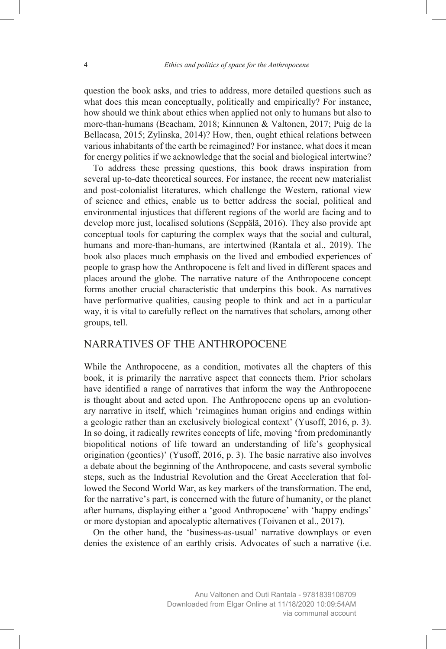question the book asks, and tries to address, more detailed questions such as what does this mean conceptually, politically and empirically? For instance, how should we think about ethics when applied not only to humans but also to more-than-humans (Beacham, 2018; Kinnunen & Valtonen, 2017; Puig de la Bellacasa, 2015; Zylinska, 2014)? How, then, ought ethical relations between various inhabitants of the earth be reimagined? For instance, what does it mean for energy politics if we acknowledge that the social and biological intertwine?

To address these pressing questions, this book draws inspiration from several up-to-date theoretical sources. For instance, the recent new materialist and post-colonialist literatures, which challenge the Western, rational view of science and ethics, enable us to better address the social, political and environmental injustices that different regions of the world are facing and to develop more just, localised solutions (Seppälä, 2016). They also provide apt conceptual tools for capturing the complex ways that the social and cultural, humans and more-than-humans, are intertwined (Rantala et al., 2019). The book also places much emphasis on the lived and embodied experiences of people to grasp how the Anthropocene is felt and lived in different spaces and places around the globe. The narrative nature of the Anthropocene concept forms another crucial characteristic that underpins this book. As narratives have performative qualities, causing people to think and act in a particular way, it is vital to carefully reflect on the narratives that scholars, among other groups, tell.

## NARRATIVES OF THE ANTHROPOCENE

While the Anthropocene, as a condition, motivates all the chapters of this book, it is primarily the narrative aspect that connects them. Prior scholars have identified a range of narratives that inform the way the Anthropocene is thought about and acted upon. The Anthropocene opens up an evolutionary narrative in itself, which 'reimagines human origins and endings within a geologic rather than an exclusively biological context' (Yusoff, 2016, p. 3). In so doing, it radically rewrites concepts of life, moving 'from predominantly biopolitical notions of life toward an understanding of life's geophysical origination (geontics)' (Yusoff, 2016, p. 3). The basic narrative also involves a debate about the beginning of the Anthropocene, and casts several symbolic steps, such as the Industrial Revolution and the Great Acceleration that followed the Second World War, as key markers of the transformation. The end, for the narrative's part, is concerned with the future of humanity, or the planet after humans, displaying either a 'good Anthropocene' with 'happy endings' or more dystopian and apocalyptic alternatives (Toivanen et al., 2017).

On the other hand, the 'business-as-usual' narrative downplays or even denies the existence of an earthly crisis. Advocates of such a narrative (i.e.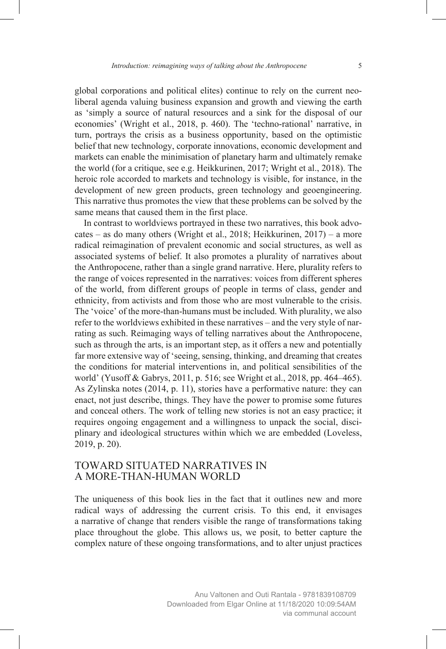global corporations and political elites) continue to rely on the current neoliberal agenda valuing business expansion and growth and viewing the earth as 'simply a source of natural resources and a sink for the disposal of our economies' (Wright et al., 2018, p. 460). The 'techno-rational' narrative, in turn, portrays the crisis as a business opportunity, based on the optimistic belief that new technology, corporate innovations, economic development and markets can enable the minimisation of planetary harm and ultimately remake the world (for a critique, see e.g. Heikkurinen, 2017; Wright et al., 2018). The heroic role accorded to markets and technology is visible, for instance, in the development of new green products, green technology and geoengineering. This narrative thus promotes the view that these problems can be solved by the same means that caused them in the first place.

In contrast to worldviews portrayed in these two narratives, this book advocates – as do many others (Wright et al., 2018; Heikkurinen, 2017) – a more radical reimagination of prevalent economic and social structures, as well as associated systems of belief. It also promotes a plurality of narratives about the Anthropocene, rather than a single grand narrative. Here, plurality refers to the range of voices represented in the narratives: voices from different spheres of the world, from different groups of people in terms of class, gender and ethnicity, from activists and from those who are most vulnerable to the crisis. The 'voice' of the more-than-humans must be included. With plurality, we also refer to the worldviews exhibited in these narratives – and the very style of narrating as such. Reimaging ways of telling narratives about the Anthropocene, such as through the arts, is an important step, as it offers a new and potentially far more extensive way of 'seeing, sensing, thinking, and dreaming that creates the conditions for material interventions in, and political sensibilities of the world' (Yusoff & Gabrys, 2011, p. 516; see Wright et al., 2018, pp. 464–465). As Zylinska notes (2014, p. 11), stories have a performative nature: they can enact, not just describe, things. They have the power to promise some futures and conceal others. The work of telling new stories is not an easy practice; it requires ongoing engagement and a willingness to unpack the social, disciplinary and ideological structures within which we are embedded (Loveless, 2019, p. 20).

## TOWARD SITUATED NARRATIVES IN A MORE-THAN-HUMAN WORLD

The uniqueness of this book lies in the fact that it outlines new and more radical ways of addressing the current crisis. To this end, it envisages a narrative of change that renders visible the range of transformations taking place throughout the globe. This allows us, we posit, to better capture the complex nature of these ongoing transformations, and to alter unjust practices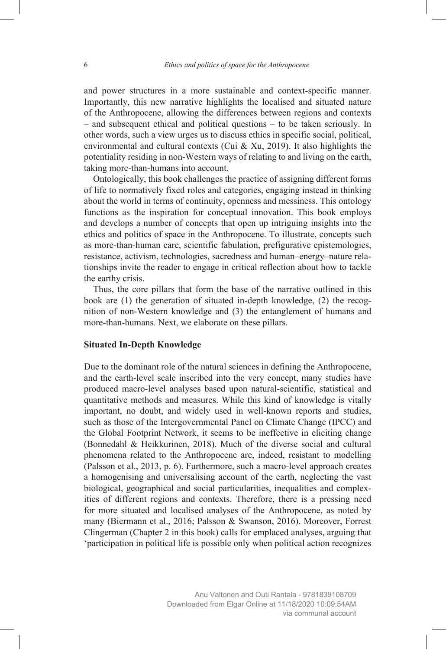and power structures in a more sustainable and context-specific manner. Importantly, this new narrative highlights the localised and situated nature of the Anthropocene, allowing the differences between regions and contexts – and subsequent ethical and political questions – to be taken seriously. In other words, such a view urges us to discuss ethics in specific social, political, environmental and cultural contexts (Cui & Xu, 2019). It also highlights the potentiality residing in non-Western ways of relating to and living on the earth, taking more-than-humans into account.

Ontologically, this book challenges the practice of assigning different forms of life to normatively fixed roles and categories, engaging instead in thinking about the world in terms of continuity, openness and messiness. This ontology functions as the inspiration for conceptual innovation. This book employs and develops a number of concepts that open up intriguing insights into the ethics and politics of space in the Anthropocene. To illustrate, concepts such as more-than-human care, scientific fabulation, prefigurative epistemologies, resistance, activism, technologies, sacredness and human–energy–nature relationships invite the reader to engage in critical reflection about how to tackle the earthy crisis.

Thus, the core pillars that form the base of the narrative outlined in this book are (1) the generation of situated in-depth knowledge, (2) the recognition of non-Western knowledge and (3) the entanglement of humans and more-than-humans. Next, we elaborate on these pillars.

#### **Situated In-Depth Knowledge**

Due to the dominant role of the natural sciences in defining the Anthropocene, and the earth-level scale inscribed into the very concept, many studies have produced macro-level analyses based upon natural-scientific, statistical and quantitative methods and measures. While this kind of knowledge is vitally important, no doubt, and widely used in well-known reports and studies, such as those of the Intergovernmental Panel on Climate Change (IPCC) and the Global Footprint Network, it seems to be ineffective in eliciting change (Bonnedahl & Heikkurinen, 2018). Much of the diverse social and cultural phenomena related to the Anthropocene are, indeed, resistant to modelling (Palsson et al., 2013, p. 6). Furthermore, such a macro-level approach creates a homogenising and universalising account of the earth, neglecting the vast biological, geographical and social particularities, inequalities and complexities of different regions and contexts. Therefore, there is a pressing need for more situated and localised analyses of the Anthropocene, as noted by many (Biermann et al., 2016; Palsson & Swanson, 2016). Moreover, Forrest Clingerman (Chapter 2 in this book) calls for emplaced analyses, arguing that 'participation in political life is possible only when political action recognizes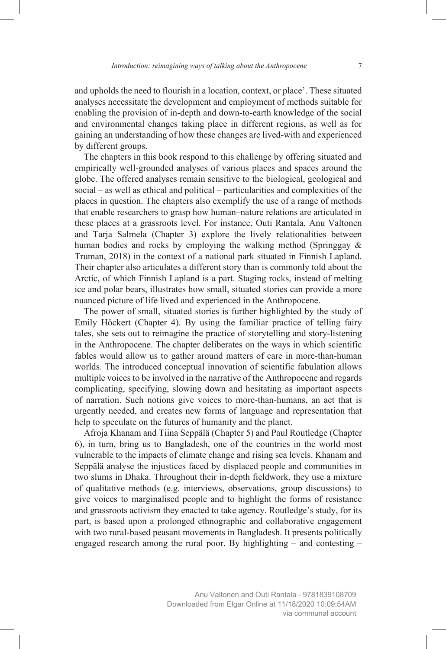and upholds the need to flourish in a location, context, or place'. These situated analyses necessitate the development and employment of methods suitable for enabling the provision of in-depth and down-to-earth knowledge of the social and environmental changes taking place in different regions, as well as for gaining an understanding of how these changes are lived-with and experienced by different groups.

The chapters in this book respond to this challenge by offering situated and empirically well-grounded analyses of various places and spaces around the globe. The offered analyses remain sensitive to the biological, geological and social – as well as ethical and political – particularities and complexities of the places in question. The chapters also exemplify the use of a range of methods that enable researchers to grasp how human–nature relations are articulated in these places at a grassroots level. For instance, Outi Rantala, Anu Valtonen and Taria Salmela (Chapter 3) explore the lively relationalities between human bodies and rocks by employing the walking method (Springgay & Truman, 2018) in the context of a national park situated in Finnish Lapland. Their chapter also articulates a different story than is commonly told about the Arctic, of which Finnish Lapland is a part. Staging rocks, instead of melting ice and polar bears, illustrates how small, situated stories can provide a more nuanced picture of life lived and experienced in the Anthropocene.

The power of small, situated stories is further highlighted by the study of Emily Höckert (Chapter 4). By using the familiar practice of telling fairy tales, she sets out to reimagine the practice of storytelling and story-listening in the Anthropocene. The chapter deliberates on the ways in which scientific fables would allow us to gather around matters of care in more-than-human worlds. The introduced conceptual innovation of scientific fabulation allows multiple voices to be involved in the narrative of the Anthropocene and regards complicating, specifying, slowing down and hesitating as important aspects of narration. Such notions give voices to more-than-humans, an act that is urgently needed, and creates new forms of language and representation that help to speculate on the futures of humanity and the planet.

Afroja Khanam and Tiina Seppälä (Chapter 5) and Paul Routledge (Chapter 6), in turn, bring us to Bangladesh, one of the countries in the world most vulnerable to the impacts of climate change and rising sea levels. Khanam and Seppälä analyse the injustices faced by displaced people and communities in two slums in Dhaka. Throughout their in-depth fieldwork, they use a mixture of qualitative methods (e.g. interviews, observations, group discussions) to give voices to marginalised people and to highlight the forms of resistance and grassroots activism they enacted to take agency. Routledge's study, for its part, is based upon a prolonged ethnographic and collaborative engagement with two rural-based peasant movements in Bangladesh. It presents politically engaged research among the rural poor. By highlighting – and contesting –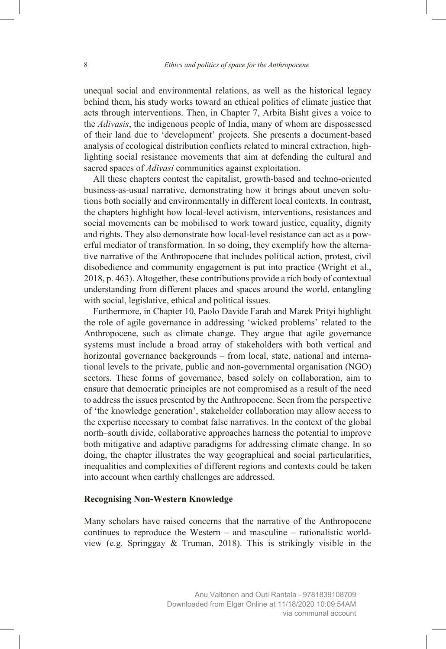unequal social and environmental relations, as well as the historical legacy behind them, his study works toward an ethical politics of climate justice that acts through interventions. Then, in Chapter 7, Arbita Bisht gives a voice to the *Adivasis*, the indigenous people of India, many of whom are dispossessed of their land due to 'development' projects. She presents a document-based analysis of ecological distribution conflicts related to mineral extraction, highlighting social resistance movements that aim at defending the cultural and sacred spaces of *Adivasi* communities against exploitation.

All these chapters contest the capitalist, growth-based and techno-oriented business-as-usual narrative, demonstrating how it brings about uneven solutions both socially and environmentally in different local contexts. In contrast, the chapters highlight how local-level activism, interventions, resistances and social movements can be mobilised to work toward justice, equality, dignity and rights. They also demonstrate how local-level resistance can act as a powerful mediator of transformation. In so doing, they exemplify how the alternative narrative of the Anthropocene that includes political action, protest, civil disobedience and community engagement is put into practice (Wright et al., 2018, p. 463). Altogether, these contributions provide a rich body of contextual understanding from different places and spaces around the world, entangling with social, legislative, ethical and political issues.

Furthermore, in Chapter 10, Paolo Davide Farah and Marek Prityi highlight the role of agile governance in addressing 'wicked problems' related to the Anthropocene, such as climate change. They argue that agile governance systems must include a broad array of stakeholders with both vertical and horizontal governance backgrounds – from local, state, national and international levels to the private, public and non-governmental organisation (NGO) sectors. These forms of governance, based solely on collaboration, aim to ensure that democratic principles are not compromised as a result of the need to address the issues presented by the Anthropocene. Seen from the perspective of 'the knowledge generation', stakeholder collaboration may allow access to the expertise necessary to combat false narratives. In the context of the global north–south divide, collaborative approaches harness the potential to improve both mitigative and adaptive paradigms for addressing climate change. In so doing, the chapter illustrates the way geographical and social particularities, inequalities and complexities of different regions and contexts could be taken into account when earthly challenges are addressed.

#### **Recognising Non-Western Knowledge**

Many scholars have raised concerns that the narrative of the Anthropocene continues to reproduce the Western – and masculine – rationalistic worldview (e.g. Springgay & Truman, 2018). This is strikingly visible in the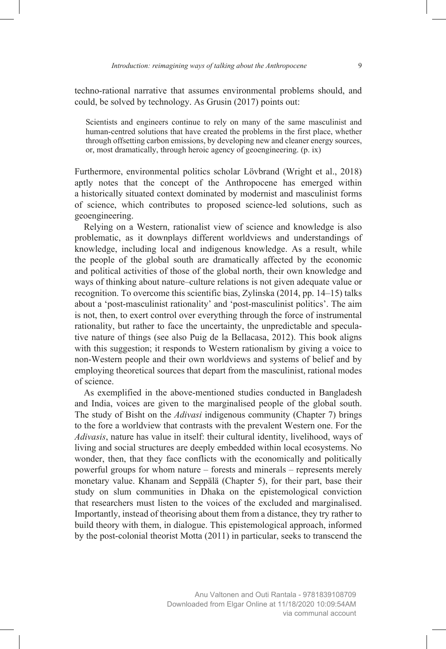techno-rational narrative that assumes environmental problems should, and could, be solved by technology. As Grusin (2017) points out:

Scientists and engineers continue to rely on many of the same masculinist and human-centred solutions that have created the problems in the first place, whether through offsetting carbon emissions, by developing new and cleaner energy sources, or, most dramatically, through heroic agency of geoengineering. (p. ix)

Furthermore, environmental politics scholar Lövbrand (Wright et al., 2018) aptly notes that the concept of the Anthropocene has emerged within a historically situated context dominated by modernist and masculinist forms of science, which contributes to proposed science-led solutions, such as geoengineering.

Relying on a Western, rationalist view of science and knowledge is also problematic, as it downplays different worldviews and understandings of knowledge, including local and indigenous knowledge. As a result, while the people of the global south are dramatically affected by the economic and political activities of those of the global north, their own knowledge and ways of thinking about nature–culture relations is not given adequate value or recognition. To overcome this scientific bias, Zylinska (2014, pp. 14–15) talks about a 'post-masculinist rationality' and 'post-masculinist politics'. The aim is not, then, to exert control over everything through the force of instrumental rationality, but rather to face the uncertainty, the unpredictable and speculative nature of things (see also Puig de la Bellacasa, 2012). This book aligns with this suggestion; it responds to Western rationalism by giving a voice to non-Western people and their own worldviews and systems of belief and by employing theoretical sources that depart from the masculinist, rational modes of science.

As exemplified in the above-mentioned studies conducted in Bangladesh and India, voices are given to the marginalised people of the global south. The study of Bisht on the *Adivasi* indigenous community (Chapter 7) brings to the fore a worldview that contrasts with the prevalent Western one. For the *Adivasis*, nature has value in itself: their cultural identity, livelihood, ways of living and social structures are deeply embedded within local ecosystems. No wonder, then, that they face conflicts with the economically and politically powerful groups for whom nature – forests and minerals – represents merely monetary value. Khanam and Seppälä (Chapter 5), for their part, base their study on slum communities in Dhaka on the epistemological conviction that researchers must listen to the voices of the excluded and marginalised. Importantly, instead of theorising about them from a distance, they try rather to build theory with them, in dialogue. This epistemological approach, informed by the post-colonial theorist Motta (2011) in particular, seeks to transcend the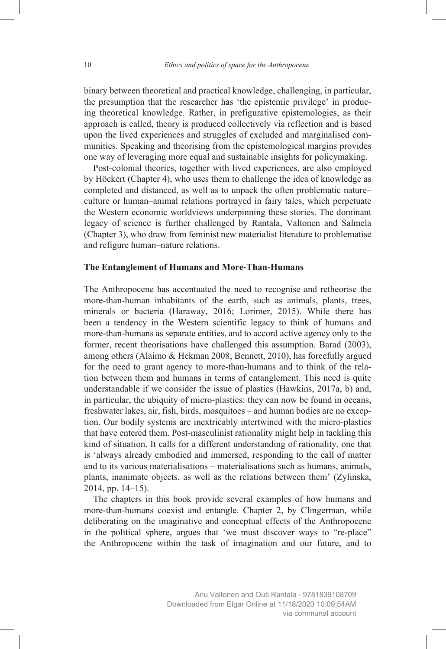binary between theoretical and practical knowledge, challenging, in particular, the presumption that the researcher has 'the epistemic privilege' in producing theoretical knowledge. Rather, in prefigurative epistemologies, as their approach is called, theory is produced collectively via reflection and is based upon the lived experiences and struggles of excluded and marginalised communities. Speaking and theorising from the epistemological margins provides one way of leveraging more equal and sustainable insights for policymaking.

Post-colonial theories, together with lived experiences, are also employed by Höckert (Chapter 4), who uses them to challenge the idea of knowledge as completed and distanced, as well as to unpack the often problematic nature– culture or human–animal relations portrayed in fairy tales, which perpetuate the Western economic worldviews underpinning these stories. The dominant legacy of science is further challenged by Rantala, Valtonen and Salmela (Chapter 3), who draw from feminist new materialist literature to problematise and refigure human–nature relations.

#### **The Entanglement of Humans and More-Than-Humans**

The Anthropocene has accentuated the need to recognise and retheorise the more-than-human inhabitants of the earth, such as animals, plants, trees, minerals or bacteria (Haraway, 2016; Lorimer, 2015). While there has been a tendency in the Western scientific legacy to think of humans and more-than-humans as separate entities, and to accord active agency only to the former, recent theorisations have challenged this assumption. Barad (2003), among others (Alaimo & Hekman 2008; Bennett, 2010), has forcefully argued for the need to grant agency to more-than-humans and to think of the relation between them and humans in terms of entanglement. This need is quite understandable if we consider the issue of plastics (Hawkins, 2017a, b) and, in particular, the ubiquity of micro-plastics: they can now be found in oceans, freshwater lakes, air, fish, birds, mosquitoes – and human bodies are no exception. Our bodily systems are inextricably intertwined with the micro-plastics that have entered them. Post-masculinist rationality might help in tackling this kind of situation. It calls for a different understanding of rationality, one that is 'always already embodied and immersed, responding to the call of matter and to its various materialisations – materialisations such as humans, animals, plants, inanimate objects, as well as the relations between them' (Zylinska, 2014, pp. 14–15).

The chapters in this book provide several examples of how humans and more-than-humans coexist and entangle. Chapter 2, by Clingerman, while deliberating on the imaginative and conceptual effects of the Anthropocene in the political sphere, argues that 'we must discover ways to "re-place" the Anthropocene within the task of imagination and our future, and to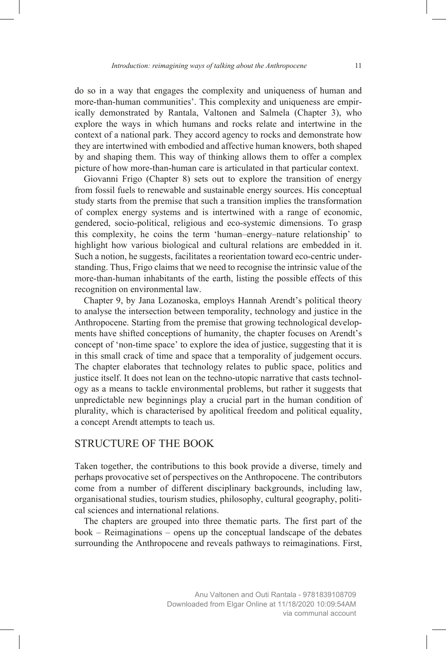do so in a way that engages the complexity and uniqueness of human and more-than-human communities'. This complexity and uniqueness are empirically demonstrated by Rantala, Valtonen and Salmela (Chapter 3), who explore the ways in which humans and rocks relate and intertwine in the context of a national park. They accord agency to rocks and demonstrate how they are intertwined with embodied and affective human knowers, both shaped by and shaping them. This way of thinking allows them to offer a complex picture of how more-than-human care is articulated in that particular context.

Giovanni Frigo (Chapter 8) sets out to explore the transition of energy from fossil fuels to renewable and sustainable energy sources. His conceptual study starts from the premise that such a transition implies the transformation of complex energy systems and is intertwined with a range of economic, gendered, socio-political, religious and eco-systemic dimensions. To grasp this complexity, he coins the term 'human–energy–nature relationship' to highlight how various biological and cultural relations are embedded in it. Such a notion, he suggests, facilitates a reorientation toward eco-centric understanding. Thus, Frigo claims that we need to recognise the intrinsic value of the more-than-human inhabitants of the earth, listing the possible effects of this recognition on environmental law.

Chapter 9, by Jana Lozanoska, employs Hannah Arendt's political theory to analyse the intersection between temporality, technology and justice in the Anthropocene. Starting from the premise that growing technological developments have shifted conceptions of humanity, the chapter focuses on Arendt's concept of 'non-time space' to explore the idea of justice, suggesting that it is in this small crack of time and space that a temporality of judgement occurs. The chapter elaborates that technology relates to public space, politics and justice itself. It does not lean on the techno-utopic narrative that casts technology as a means to tackle environmental problems, but rather it suggests that unpredictable new beginnings play a crucial part in the human condition of plurality, which is characterised by apolitical freedom and political equality, a concept Arendt attempts to teach us.

## STRUCTURE OF THE BOOK

Taken together, the contributions to this book provide a diverse, timely and perhaps provocative set of perspectives on the Anthropocene. The contributors come from a number of different disciplinary backgrounds, including law, organisational studies, tourism studies, philosophy, cultural geography, political sciences and international relations.

The chapters are grouped into three thematic parts. The first part of the book – Reimaginations – opens up the conceptual landscape of the debates surrounding the Anthropocene and reveals pathways to reimaginations. First,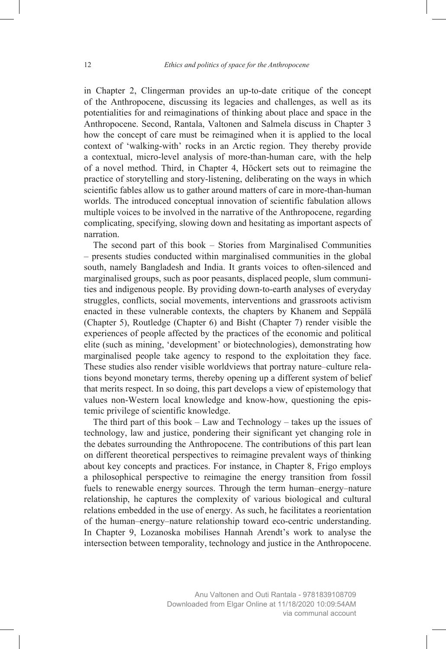in Chapter 2, Clingerman provides an up-to-date critique of the concept of the Anthropocene, discussing its legacies and challenges, as well as its potentialities for and reimaginations of thinking about place and space in the Anthropocene. Second, Rantala, Valtonen and Salmela discuss in Chapter 3 how the concept of care must be reimagined when it is applied to the local context of 'walking-with' rocks in an Arctic region. They thereby provide a contextual, micro-level analysis of more-than-human care, with the help of a novel method. Third, in Chapter 4, Höckert sets out to reimagine the practice of storytelling and story-listening, deliberating on the ways in which scientific fables allow us to gather around matters of care in more-than-human worlds. The introduced conceptual innovation of scientific fabulation allows multiple voices to be involved in the narrative of the Anthropocene, regarding complicating, specifying, slowing down and hesitating as important aspects of narration.

The second part of this book – Stories from Marginalised Communities – presents studies conducted within marginalised communities in the global south, namely Bangladesh and India. It grants voices to often-silenced and marginalised groups, such as poor peasants, displaced people, slum communities and indigenous people. By providing down-to-earth analyses of everyday struggles, conflicts, social movements, interventions and grassroots activism enacted in these vulnerable contexts, the chapters by Khanem and Seppälä (Chapter 5), Routledge (Chapter 6) and Bisht (Chapter 7) render visible the experiences of people affected by the practices of the economic and political elite (such as mining, 'development' or biotechnologies), demonstrating how marginalised people take agency to respond to the exploitation they face. These studies also render visible worldviews that portray nature–culture relations beyond monetary terms, thereby opening up a different system of belief that merits respect. In so doing, this part develops a view of epistemology that values non-Western local knowledge and know-how, questioning the epistemic privilege of scientific knowledge.

The third part of this book – Law and Technology – takes up the issues of technology, law and justice, pondering their significant yet changing role in the debates surrounding the Anthropocene. The contributions of this part lean on different theoretical perspectives to reimagine prevalent ways of thinking about key concepts and practices. For instance, in Chapter 8, Frigo employs a philosophical perspective to reimagine the energy transition from fossil fuels to renewable energy sources. Through the term human–energy–nature relationship, he captures the complexity of various biological and cultural relations embedded in the use of energy. As such, he facilitates a reorientation of the human–energy–nature relationship toward eco-centric understanding. In Chapter 9, Lozanoska mobilises Hannah Arendt's work to analyse the intersection between temporality, technology and justice in the Anthropocene.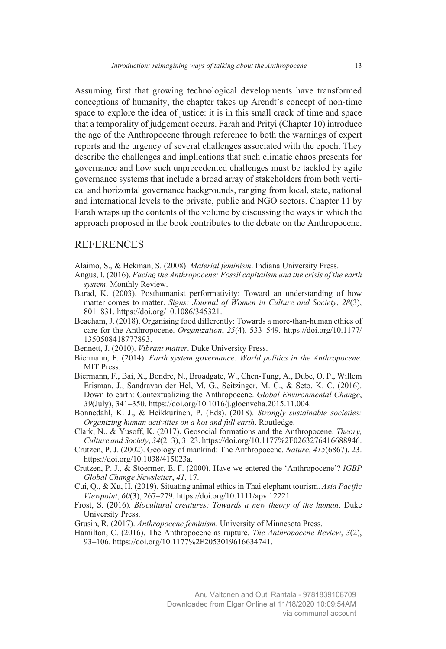Assuming first that growing technological developments have transformed conceptions of humanity, the chapter takes up Arendt's concept of non-time space to explore the idea of justice: it is in this small crack of time and space that a temporality of judgement occurs. Farah and Prityi (Chapter 10) introduce the age of the Anthropocene through reference to both the warnings of expert reports and the urgency of several challenges associated with the epoch. They describe the challenges and implications that such climatic chaos presents for governance and how such unprecedented challenges must be tackled by agile governance systems that include a broad array of stakeholders from both vertical and horizontal governance backgrounds, ranging from local, state, national and international levels to the private, public and NGO sectors. Chapter 11 by Farah wraps up the contents of the volume by discussing the ways in which the approach proposed in the book contributes to the debate on the Anthropocene.

## **REFERENCES**

Alaimo, S., & Hekman, S. (2008). *Material feminism*. Indiana University Press.

- Angus, I. (2016). *Facing the Anthropocene: Fossil capitalism and the crisis of the earth system*. Monthly Review.
- Barad, K. (2003). Posthumanist performativity: Toward an understanding of how matter comes to matter. *Signs: Journal of Women in Culture and Society*, *28*(3), 801–831. https://doi.org/10.1086/345321.
- Beacham, J. (2018). Organising food differently: Towards a more-than-human ethics of care for the Anthropocene. *Organization*, *25*(4), 533–549. https://doi.org/10.1177/ 1350508418777893.
- Bennett, J. (2010). *Vibrant matter*. Duke University Press.
- Biermann, F. (2014). *Earth system governance: World politics in the Anthropocene*. MIT Press.
- Biermann, F., Bai, X., Bondre, N., Broadgate, W., Chen-Tung, A., Dube, O. P., Willem Erisman, J., Sandravan der Hel, M. G., Seitzinger, M. C., & Seto, K. C. (2016). Down to earth: Contextualizing the Anthropocene. *Global Environmental Change*, *39*(July), 341–350. https://doi.org/10.1016/j.gloenvcha.2015.11.004.
- Bonnedahl, K. J., & Heikkurinen, P. (Eds). (2018). *Strongly sustainable societies: Organizing human activities on a hot and full earth*. Routledge.
- Clark, N., & Yusoff, K. (2017). Geosocial formations and the Anthropocene. *Theory, Culture and Society*, *34*(2–3), 3–23. https://doi.org/10.1177%2F0263276416688946.
- Crutzen, P. J. (2002). Geology of mankind: The Anthropocene. *Nature*, *415*(6867), 23. https://doi.org/10.1038/415023a.
- Crutzen, P. J., & Stoermer, E. F. (2000). Have we entered the 'Anthropocene'? *IGBP Global Change Newsletter*, *41*, 17.
- Cui, Q., & Xu, H. (2019). Situating animal ethics in Thai elephant tourism. *Asia Pacific Viewpoint*, *60*(3), 267–279. https://doi.org/10.1111/apv.12221.
- Frost, S. (2016). *Biocultural creatures: Towards a new theory of the human*. Duke University Press.
- Grusin, R. (2017). *Anthropocene feminism*. University of Minnesota Press.
- Hamilton, C. (2016). The Anthropocene as rupture. *The Anthropocene Review*, *3*(2), 93–106. https://doi.org/10.1177%2F2053019616634741.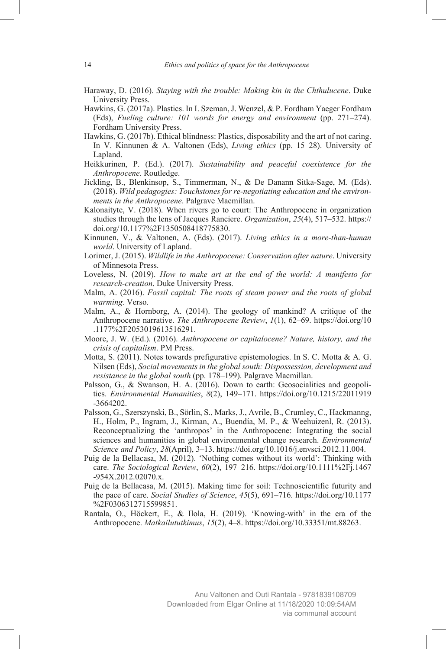- Haraway, D. (2016). *Staying with the trouble: Making kin in the Chthulucene*. Duke University Press.
- Hawkins, G. (2017a). Plastics. In I. Szeman, J. Wenzel, & P. Fordham Yaeger Fordham (Eds), *Fueling culture: 101 words for energy and environment* (pp. 271–274). Fordham University Press.
- Hawkins, G. (2017b). Ethical blindness: Plastics, disposability and the art of not caring. In V. Kinnunen & A. Valtonen (Eds), *Living ethics* (pp. 15–28). University of Lapland.
- Heikkurinen, P. (Ed.). (2017). *Sustainability and peaceful coexistence for the Anthropocene*. Routledge.
- Jickling, B., Blenkinsop, S., Timmerman, N., & De Danann Sitka-Sage, M. (Eds). (2018). *Wild pedagogies: Touchstones for re-negotiating education and the environments in the Anthropocene*. Palgrave Macmillan.
- Kalonaityte, V. (2018). When rivers go to court: The Anthropocene in organization studies through the lens of Jacques Ranciere. *Organization*, *25*(4), 517–532. https:// doi.org/10.1177%2F1350508418775830.
- Kinnunen, V., & Valtonen, A. (Eds). (2017). *Living ethics in a more-than-human world*. University of Lapland.
- Lorimer, J. (2015). *Wildlife in the Anthropocene: Conservation after nature*. University of Minnesota Press.
- Loveless, N. (2019). *How to make art at the end of the world: A manifesto for research-creation*. Duke University Press.
- Malm, A. (2016). *Fossil capital: The roots of steam power and the roots of global warming*. Verso.
- Malm, A., & Hornborg, A. (2014). The geology of mankind? A critique of the Anthropocene narrative. *The Anthropocene Review*, *1*(1), 62–69. https://doi.org/10 .1177%2F2053019613516291.
- Moore, J. W. (Ed.). (2016). *Anthropocene or capitalocene? Nature, history, and the crisis of capitalism*. PM Press.
- Motta, S. (2011). Notes towards prefigurative epistemologies. In S. C. Motta & A. G. Nilsen (Eds), *Social movements in the global south: Dispossession, development and resistance in the global south* (pp. 178–199). Palgrave Macmillan.
- Palsson, G., & Swanson, H. A. (2016). Down to earth: Geosocialities and geopolitics. *Environmental Humanities*, *8*(2), 149–171. https://doi.org/10.1215/22011919 -3664202.
- Palsson, G., Szerszynski, B., Sörlin, S., Marks, J., Avrile, B., Crumley, C., Hackmanng, H., Holm, P., Ingram, J., Kirman, A., Buendía, M. P., & Weehuizenl, R. (2013). Reconceptualizing the 'anthropos' in the Anthropocene: Integrating the social sciences and humanities in global environmental change research. *Environmental Science and Policy*, *28*(April), 3–13. https://doi.org/10.1016/j.envsci.2012.11.004.
- Puig de la Bellacasa, M. (2012). 'Nothing comes without its world': Thinking with care. *The Sociological Review*, *60*(2), 197–216. https://doi.org/10.1111%2Fj.1467 -954X.2012.02070.x.
- Puig de la Bellacasa, M. (2015). Making time for soil: Technoscientific futurity and the pace of care. *Social Studies of Science*, *45*(5), 691–716. https://doi.org/10.1177 %2F0306312715599851.
- Rantala, O., Höckert, E., & Ilola, H. (2019). 'Knowing-with' in the era of the Anthropocene. *Matkailututkimus*, *15*(2), 4–8. https://doi.org/10.33351/mt.88263.